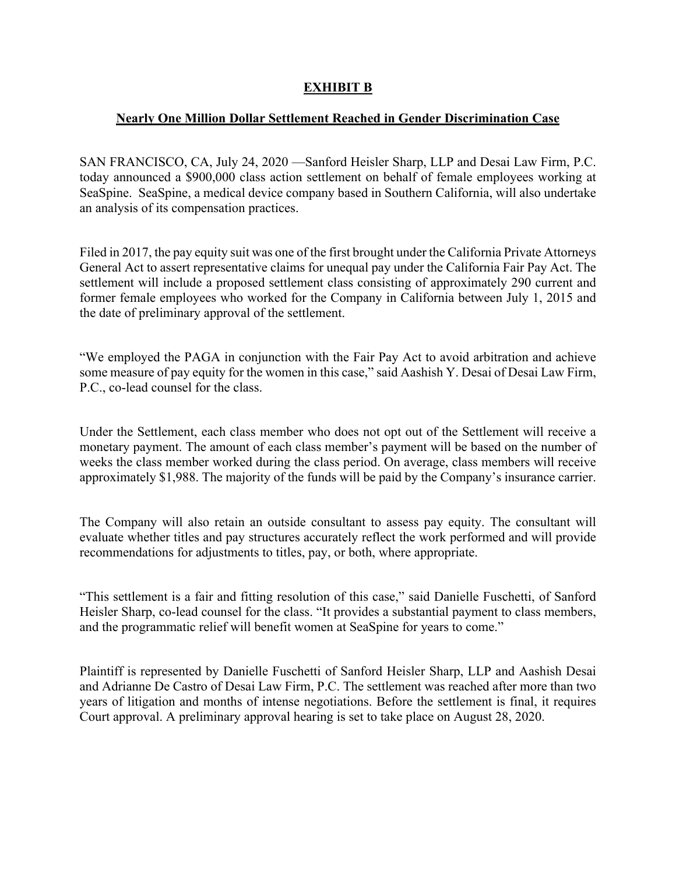## **EXHIBIT B**

## **Nearly One Million Dollar Settlement Reached in Gender Discrimination Case**

SAN FRANCISCO, CA, July 24, 2020 —Sanford Heisler Sharp, LLP and Desai Law Firm, P.C. today announced a \$900,000 class action settlement on behalf of female employees working at SeaSpine. SeaSpine, a medical device company based in Southern California, will also undertake an analysis of its compensation practices.

Filed in 2017, the pay equity suit was one of the first brought under the California Private Attorneys General Act to assert representative claims for unequal pay under the California Fair Pay Act. The settlement will include a proposed settlement class consisting of approximately 290 current and former female employees who worked for the Company in California between July 1, 2015 and the date of preliminary approval of the settlement.

"We employed the PAGA in conjunction with the Fair Pay Act to avoid arbitration and achieve some measure of pay equity for the women in this case," said Aashish Y. Desai of Desai Law Firm, P.C., co-lead counsel for the class.

Under the Settlement, each class member who does not opt out of the Settlement will receive a monetary payment. The amount of each class member's payment will be based on the number of weeks the class member worked during the class period. On average, class members will receive approximately \$1,988. The majority of the funds will be paid by the Company's insurance carrier.

The Company will also retain an outside consultant to assess pay equity. The consultant will evaluate whether titles and pay structures accurately reflect the work performed and will provide recommendations for adjustments to titles, pay, or both, where appropriate.

"This settlement is a fair and fitting resolution of this case," said Danielle Fuschetti, of Sanford Heisler Sharp, co-lead counsel for the class. "It provides a substantial payment to class members, and the programmatic relief will benefit women at SeaSpine for years to come."

Plaintiff is represented by Danielle Fuschetti of Sanford Heisler Sharp, LLP and Aashish Desai and Adrianne De Castro of Desai Law Firm, P.C. The settlement was reached after more than two years of litigation and months of intense negotiations. Before the settlement is final, it requires Court approval. A preliminary approval hearing is set to take place on August 28, 2020.